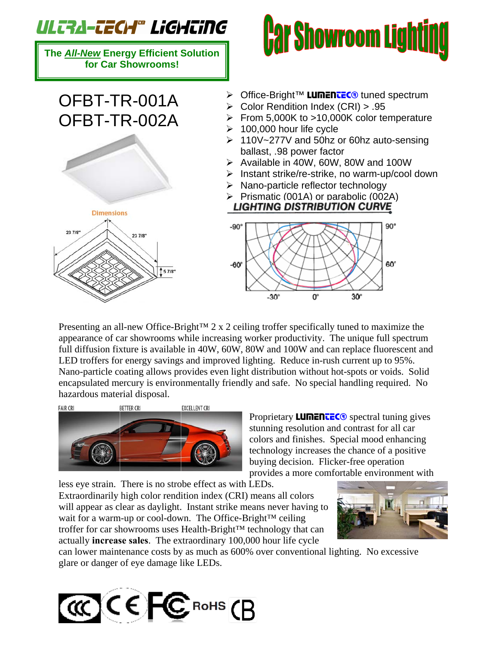## ULTA-TECH® LiGHTiNG

**The** *All-New* **Energy Efficient Solution for Car Showrooms!** 

## OFBT-TR-001A OFBT-TR-002A





- > Office-Bright™ LUMENTEC<sup>®</sup> tuned spectrum
- $\triangleright$  Color Rendition Index (CRI) > .95
- $\triangleright$  From 5,000K to >10,000K color temperature
- $\geq 100,000$  hour life cycle
- ¾ 110V~277V and 50hz or 60hz auto-sensing ballast, .98 power factor
- ¾ Available in 40W, 60W, 80W and 100W
- $\triangleright$  Instant strike/re-strike, no warm-up/cool down
- $\triangleright$  Nano-particle reflector technology
- ¾ Prismatic (001A) or parabolic (002A) **LIGHTING DISTRIBUTION CURVE**



 $90^\circ$  $-90^\circ$ 60° -60° 0° 30° -30°

Presenting an all-new Office-Bright™ 2 x 2 ceiling troffer specifically tuned to maximize the appearance of car showrooms while increasing worker productivity. The unique full spectrum full diffusion fixture is available in 40W, 60W, 80W and 100W and can replace fluorescent and LED troffers for energy savings and improved lighting. Reduce in-rush current up to 95%. Nano-particle coating allows provides even light distribution without hot-spots or voids. Solid encapsulated mercury is environmentally friendly and safe. No special handling required. No hazardous material disposal.



Proprietary **LUMENTEC<sup>®</sup>** spectral tuning gives stunning resolution and contrast for all car colors and finishes. Special mood enhancing technology increases the chance of a positive buying decision. Flicker-free operation provides a more comfortable environment with

less eye strain. There is no strobe effect as with LEDs.

Extraordinarily high color rendition index (CRI) means all colors will appear as clear as daylight. Instant strike means never having to wait for a warm-up or cool-down. The Office-Bright™ ceiling troffer for car showrooms uses Health-Bright™ technology that can actually **increase sales**. The extraordinary 100,000 hour life cycle



can lower maintenance costs by as much as 600% over conventional lighting. No excessive glare or danger of eye damage like LEDs.